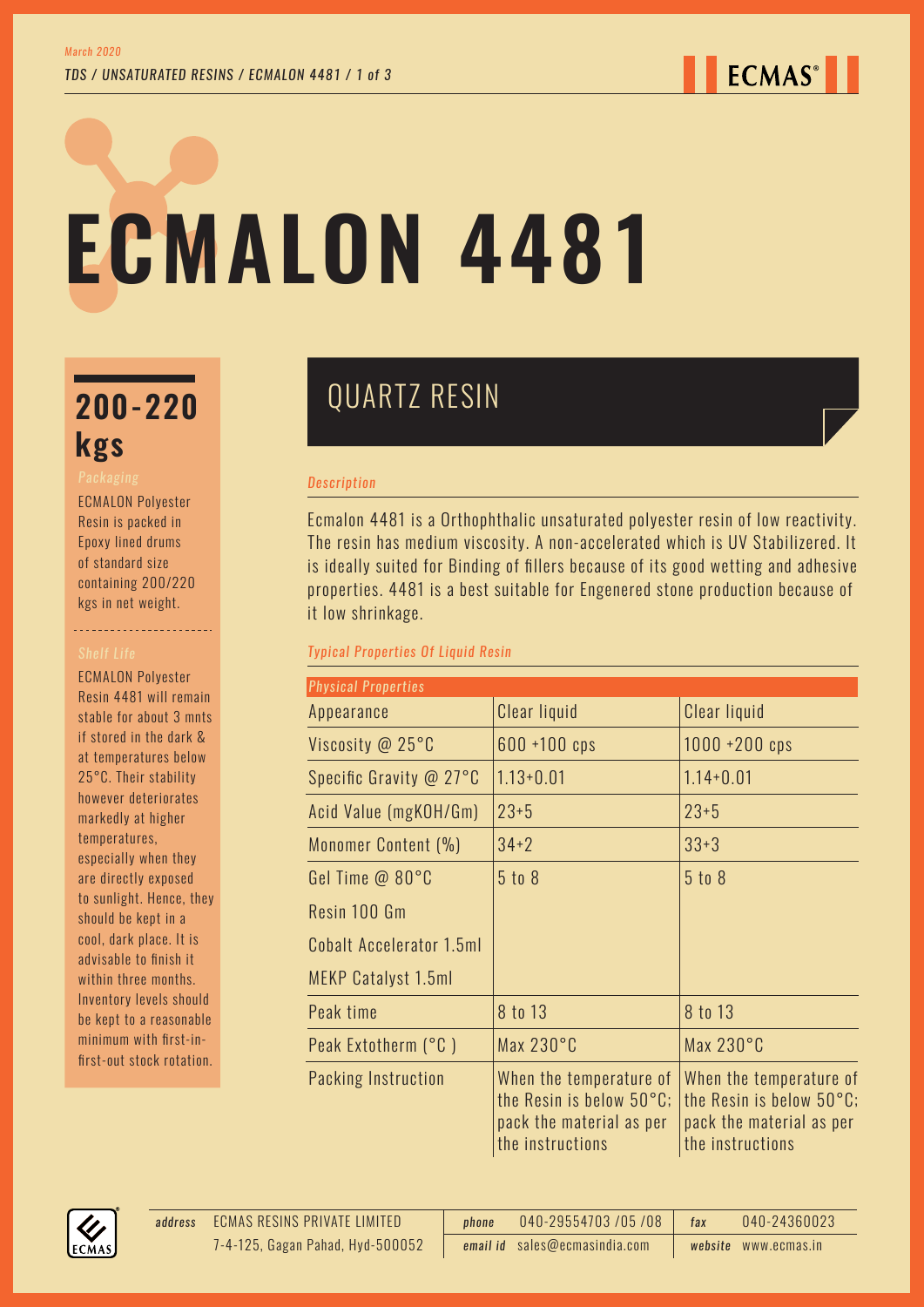**ECMAS**<sup>®</sup>

# **ECMALON 4481**

# **kgs**

ECMALON Polyester Resin is packed in Epoxy lined drums of standard size containing 200/220 kgs in net weight.

----------------------

ECMALON Polyester Resin 4481 will remain stable for about 3 mnts if stored in the dark & at temperatures below 25°C. Their stability however deteriorates markedly at higher temperatures, especially when they are directly exposed to sunlight. Hence, they should be kept in a cool, dark place. It is advisable to finish it within three months. Inventory levels should be kept to a reasonable minimum with first-infirst-out stock rotation.

## QUARTZ RESIN **200-220**

#### *Description*

Ecmalon 4481 is a Orthophthalic unsaturated polyester resin of low reactivity. The resin has medium viscosity. A non-accelerated which is UV Stabilizered. It is ideally suited for Binding of fillers because of its good wetting and adhesive properties. 4481 is a best suitable for Engenered stone production because of it low shrinkage.

### *Typical Properties Of Liquid Resin*

| <b>Physical Properties</b> |                                                                                                               |                                                                                                     |  |
|----------------------------|---------------------------------------------------------------------------------------------------------------|-----------------------------------------------------------------------------------------------------|--|
| Appearance                 | Clear liquid                                                                                                  | Clear liquid                                                                                        |  |
| Viscosity @ 25°C           | $600 + 100$ cps                                                                                               | $1000 + 200$ cps                                                                                    |  |
| Specific Gravity @ 27°C    | $1.13 + 0.01$                                                                                                 | $1.14 + 0.01$                                                                                       |  |
| Acid Value (mgKOH/Gm)      | $23+5$                                                                                                        | $23 + 5$                                                                                            |  |
| Monomer Content (%)        | $34 + 2$                                                                                                      | $33+3$                                                                                              |  |
| Gel Time @ 80°C            | $5$ to $8$                                                                                                    | 5 to 8                                                                                              |  |
| Resin 100 Gm               |                                                                                                               |                                                                                                     |  |
| Cobalt Accelerator 1.5ml   |                                                                                                               |                                                                                                     |  |
| MEKP Catalyst 1.5ml        |                                                                                                               |                                                                                                     |  |
| Peak time                  | 8 to 13                                                                                                       | 8 to 13                                                                                             |  |
| Peak Extotherm (°C)        | Max $230^{\circ}$ C                                                                                           | Max $230^{\circ}$ C                                                                                 |  |
| Packing Instruction        | When the temperature of<br>the Resin is below $50^{\circ}$ C;<br>pack the material as per<br>the instructions | When the temperature of<br>the Resin is below 50°C;<br>pack the material as per<br>the instructions |  |

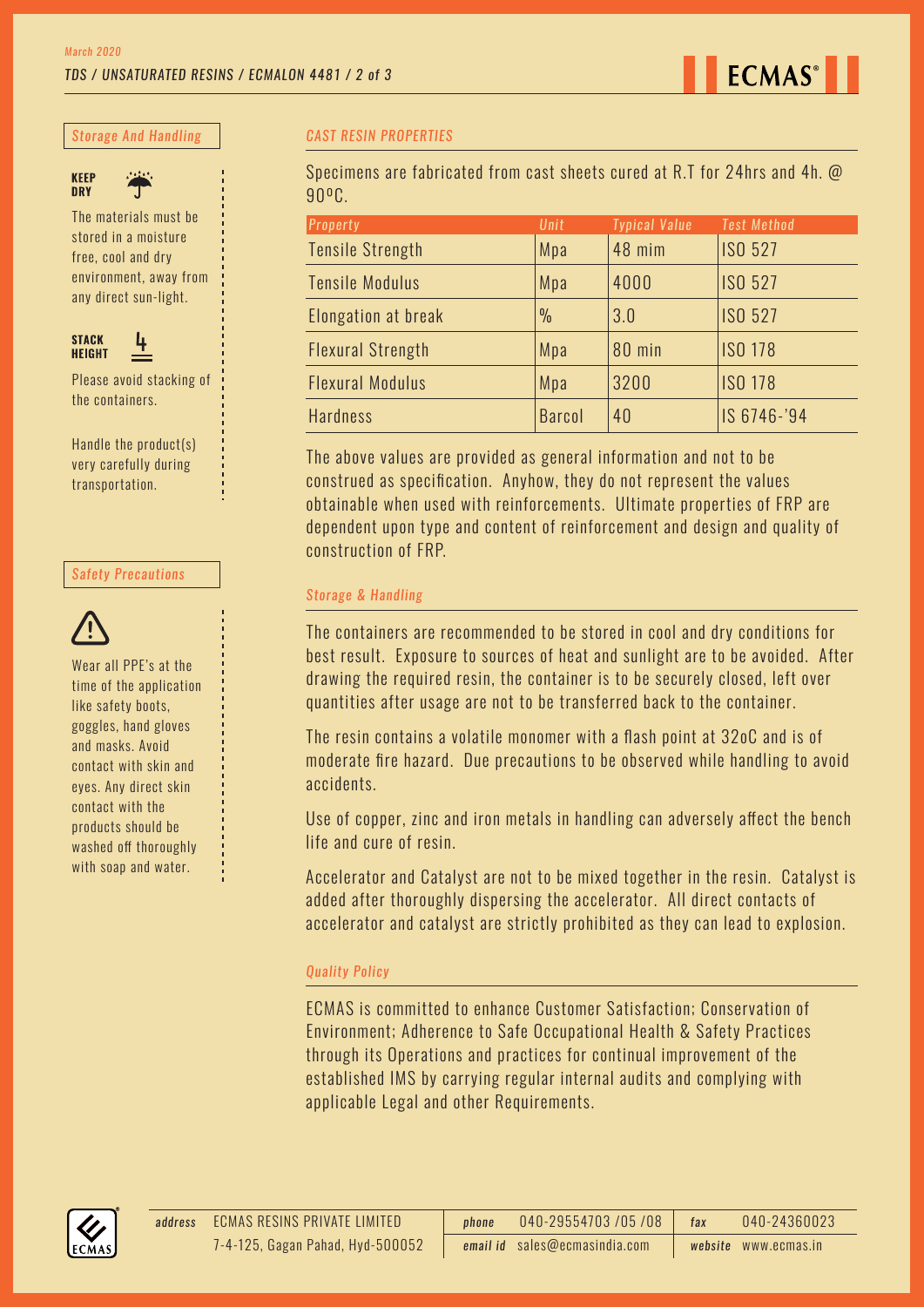

*Storage And Handling*



The materials must be

stored in a moisture free, cool and dry environment, away from any direct sun-light.



Please avoid stacking of the containers.

Handle the product(s) very carefully during transportation.

#### *Safety Precautions*



Wear all PPE's at the time of the application like safety boots, goggles, hand gloves and masks. Avoid contact with skin and eyes. Any direct skin contact with the products should be washed off thoroughly with soap and water.

#### *CAST RESIN PROPERTIES*

Specimens are fabricated from cast sheets cured at R.T for 24hrs and 4h. @ 90ºC.

| <b>Property</b>          | Unit          | <b>Typical Value</b> | <b>Test Method</b> |
|--------------------------|---------------|----------------------|--------------------|
| <b>Tensile Strength</b>  | Mpa           | 48 mim               | <b>ISO 527</b>     |
| <b>Tensile Modulus</b>   | Mpa           | 4000                 | <b>ISO 527</b>     |
| Elongation at break      | $\frac{0}{0}$ | 3.0                  | <b>ISO 527</b>     |
| <b>Flexural Strength</b> | Mpa           | 80 min               | <b>ISO 178</b>     |
| <b>Flexural Modulus</b>  | Mpa           | 3200                 | <b>ISO 178</b>     |
| <b>Hardness</b>          | <b>Barcol</b> | 40                   | IS 6746-'94        |

The above values are provided as general information and not to be construed as specification. Anyhow, they do not represent the values obtainable when used with reinforcements. Ultimate properties of FRP are dependent upon type and content of reinforcement and design and quality of construction of FRP.

#### *Storage & Handling*

The containers are recommended to be stored in cool and dry conditions for best result. Exposure to sources of heat and sunlight are to be avoided. After drawing the required resin, the container is to be securely closed, left over quantities after usage are not to be transferred back to the container.

The resin contains a volatile monomer with a flash point at 32oC and is of moderate fire hazard. Due precautions to be observed while handling to avoid accidents.

Use of copper, zinc and iron metals in handling can adversely affect the bench life and cure of resin.

Accelerator and Catalyst are not to be mixed together in the resin. Catalyst is added after thoroughly dispersing the accelerator. All direct contacts of accelerator and catalyst are strictly prohibited as they can lead to explosion.

#### *Quality Policy*

ECMAS is committed to enhance Customer Satisfaction; Conservation of Environment; Adherence to Safe Occupational Health & Safety Practices through its Operations and practices for continual improvement of the established IMS by carrying regular internal audits and complying with applicable Legal and other Requirements.